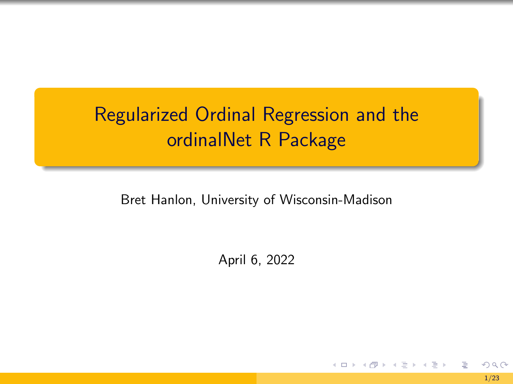# <span id="page-0-0"></span>Regularized Ordinal Regression and the ordinalNet R Package

Bret Hanlon, University of Wisconsin-Madison

April 6, 2022

₿

 $A\ \overline{B}\ \rightarrow\ A\ \overline{B}\ \rightarrow$ 

4 0 F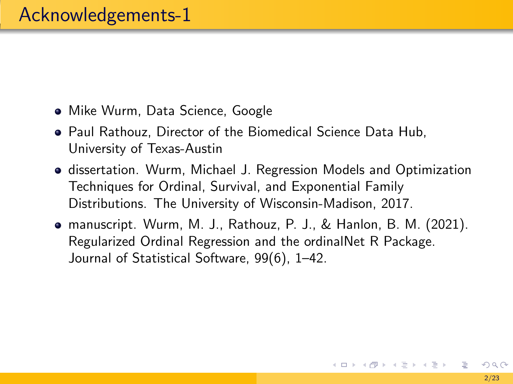- Mike Wurm, Data Science, Google
- Paul Rathouz, Director of the Biomedical Science Data Hub, University of Texas-Austin
- dissertation. Wurm, Michael J. Regression Models and Optimization Techniques for Ordinal, Survival, and Exponential Family Distributions. The University of Wisconsin-Madison, 2017.
- manuscript. Wurm, M. J., Rathouz, P. J., & Hanlon, B. M. (2021). Regularized Ordinal Regression and the ordinalNet R Package. Journal of Statistical Software, 99(6), 1–42.

イロト イ団 トイモト イモト 一毛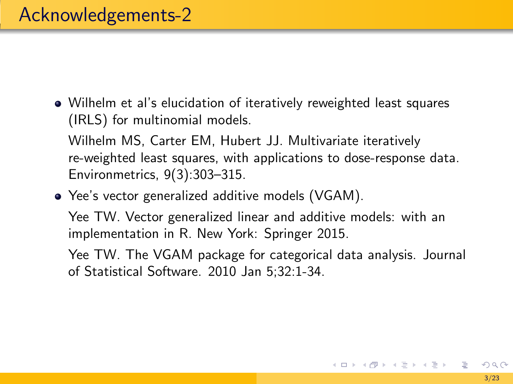Wilhelm et al's elucidation of iteratively reweighted least squares (IRLS) for multinomial models.

Wilhelm MS, Carter EM, Hubert JJ. Multivariate iteratively re-weighted least squares, with applications to dose-response data. Environmetrics, 9(3):303–315.

Yee's vector generalized additive models (VGAM).

Yee TW. Vector generalized linear and additive models: with an implementation in R. New York: Springer 2015.

Yee TW. The VGAM package for categorical data analysis. Journal of Statistical Software. 2010 Jan 5;32:1-34.

K ロ > K @ > K 경 > K 경 > 시 경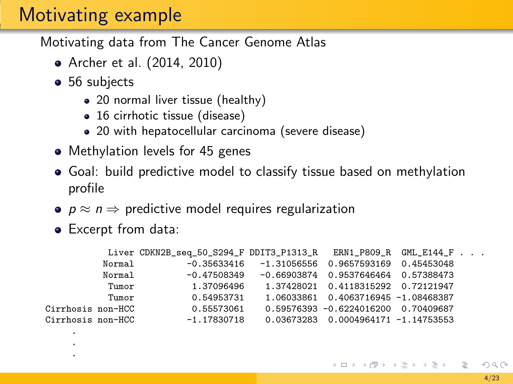# Motivating example

Motivating data from The Cancer Genome Atlas

- [Archer et al. \(2014,](#page-36-1) [2010\)](#page-36-2)
- 56 subjects
	- 20 normal liver tissue (healthy)
	- 16 cirrhotic tissue (disease)
	- 20 with hepatocellular carcinoma (severe disease)
- Methylation levels for 45 genes
- Goal: build predictive model to classify tissue based on methylation profile
- $p \approx n \Rightarrow$  predictive model requires regularization
- Excerpt from data:

. .

|                   | Liver CDKN2B_seq_50_S294_F DDIT3_P1313_R ERN1_P809_R GML_E144_F $\ldots$ |                                                   |                                       |  |  |
|-------------------|--------------------------------------------------------------------------|---------------------------------------------------|---------------------------------------|--|--|
| Normal            |                                                                          | $-0.35633416 -1.31056556 0.9657593169 0.45453048$ |                                       |  |  |
| Normal            | -0.47508349                                                              |                                                   | -0.66903874  0.9537646464  0.57388473 |  |  |
| Tumor             | 1.37096496                                                               |                                                   | 1.37428021  0.4118315292  0.72121947  |  |  |
| Tumor             | 0.54953731                                                               |                                                   | 1.06033861  0.4063716945 -1.08468387  |  |  |
| Cirrhosis non-HCC | 0.55573061                                                               |                                                   | 0.59576393 -0.6224016200 0.70409687   |  |  |
| Cirrhosis non-HCC | $-1.17830718$                                                            |                                                   | 0.03673283  0.0004964171 -1.14753553  |  |  |
| $\bullet$         |                                                                          |                                                   |                                       |  |  |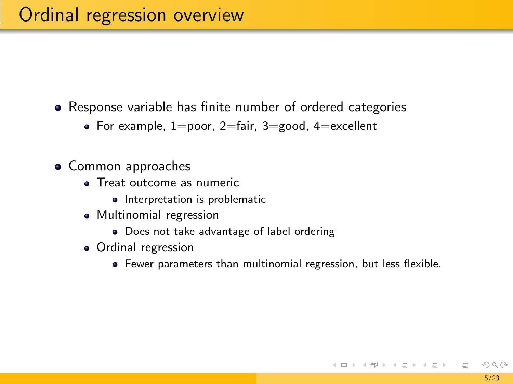Response variable has finite number of ordered categories

- For example,  $1=$ poor,  $2=$ fair,  $3=$ good,  $4=$ excellent
- Common approaches
	- **a** Treat outcome as numeric
		- Interpretation is problematic
	- Multinomial regression
		- Does not take advantage of label ordering
	- Ordinal regression
		- Fewer parameters than multinomial regression, but less flexible.

K ロ > K @ > K ミ > K ミ > H ミ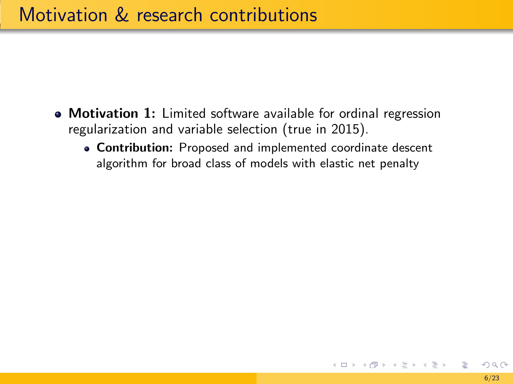- Motivation 1: Limited software available for ordinal regression regularization and variable selection (true in 2015).
	- Contribution: Proposed and implemented coordinate descent algorithm for broad class of models with elastic net penalty

イロト イ団 トイモト イモト 一毛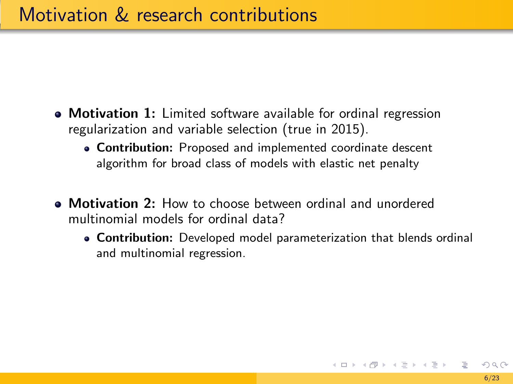- Motivation 1: Limited software available for ordinal regression regularization and variable selection (true in 2015).
	- Contribution: Proposed and implemented coordinate descent algorithm for broad class of models with elastic net penalty
- Motivation 2: How to choose between ordinal and unordered multinomial models for ordinal data?
	- Contribution: Developed model parameterization that blends ordinal and multinomial regression.

K ロ ▶ K @ ▶ K 경 ▶ K 경 ▶ 《 경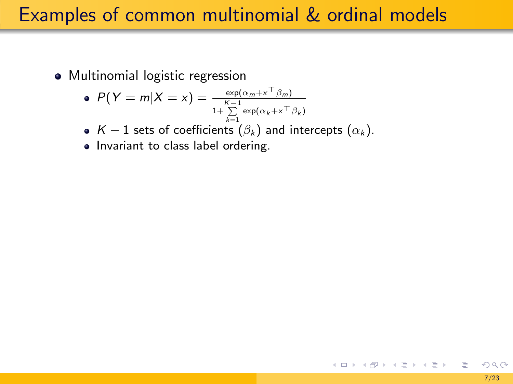# Examples of common multinomial & ordinal models

Multinomial logistic regression

$$
\bullet \ \ P(Y=m|X=x) = \frac{\exp(\alpha_m + x^{\top}\beta_m)}{1 + \sum\limits_{k=1}^{K-1} \exp(\alpha_k + x^{\top}\beta_k)}
$$

- $\kappa=1$  sets of coefficients  $(\beta_k)$  and intercepts  $(\alpha_k).$
- Invariant to class label ordering.

 $\equiv$ 

イロメ イ団メ イモメ イモメー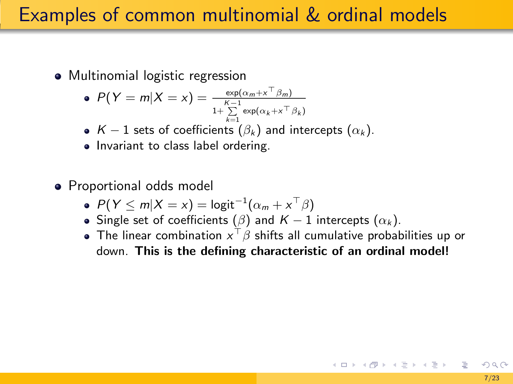# Examples of common multinomial & ordinal models

• Multinomial logistic regression

$$
\bullet \ \ P(Y=m|X=x) = \frac{\exp(\alpha_m + x^{\top}\beta_m)}{1 + \sum\limits_{k=1}^{K-1} \exp(\alpha_k + x^{\top}\beta_k)}
$$

- $K 1$  sets of coefficients  $(\beta_k)$  and intercepts  $(\alpha_k)$ .
- Invariant to class label ordering.
- Proportional odds model
	- $P(Y \le m | X = x) = logit^{-1}(\alpha_m + x^{\top}\beta)$
	- Single set of coefficients ( $\beta$ ) and  $K 1$  intercepts  $(\alpha_k)$ .
	- The linear combination  $x^\top\beta$  shifts all cumulative probabilities up or down. This is the defining characteristic of an ordinal model!

K ロ ) K ( @ ) K ( 할 ) K (할 ) ( … 할 )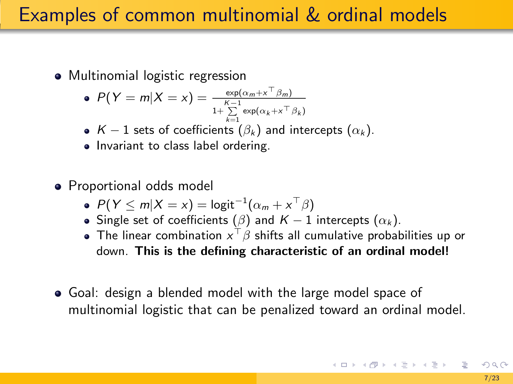# Examples of common multinomial & ordinal models

• Multinomial logistic regression

$$
\bullet \ \ P(Y=m|X=x) = \frac{\exp(\alpha_m + x^{\top}\beta_m)}{1 + \sum\limits_{k=1}^{K-1} \exp(\alpha_k + x^{\top}\beta_k)}
$$

- $\kappa=1$  sets of coefficients  $(\beta_k)$  and intercepts  $(\alpha_k).$
- Invariant to class label ordering.
- Proportional odds model
	- $P(Y \le m | X = x) = logit^{-1}(\alpha_m + x^{\top}\beta)$
	- Single set of coefficients ( $\beta$ ) and  $K 1$  intercepts  $(\alpha_k)$ .
	- The linear combination  $x^\top\beta$  shifts all cumulative probabilities up or down. This is the defining characteristic of an ordinal model!
- Goal: design a blended model with the large model space of multinomial logistic that can be penalized toward an ordinal model.

K ロ X K 個 X K ミ X K ミ X ミ X Y Q Q Q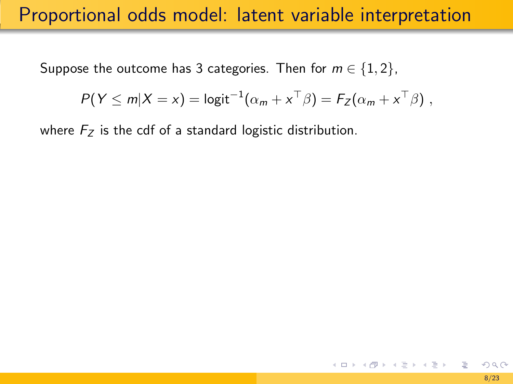Suppose the outcome has 3 categories. Then for  $m \in \{1,2\}$ ,

$$
P(Y \le m | X = x) = \logit^{-1}(\alpha_m + x^\top \beta) = F_Z(\alpha_m + x^\top \beta) ,
$$

where  $F<sub>z</sub>$  is the cdf of a standard logistic distribution.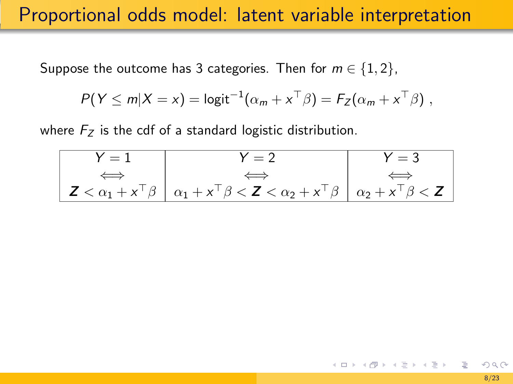Suppose the outcome has 3 categories. Then for  $m \in \{1,2\}$ ,

$$
P(Y \le m | X = x) = \log i t^{-1} (\alpha_m + x^\top \beta) = F_Z(\alpha_m + x^\top \beta) ,
$$

where  $F<sub>z</sub>$  is the cdf of a standard logistic distribution.



メロメメ 御 メメ きょく きょう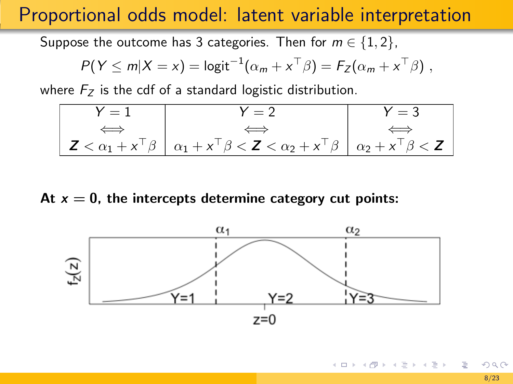Suppose the outcome has 3 categories. Then for  $m \in \{1, 2\}$ ,

$$
P(Y \le m | X = x) = \logit^{-1}(\alpha_m + x^\top \beta) = F_Z(\alpha_m + x^\top \beta) ,
$$

where  $F<sub>z</sub>$  is the cdf of a standard logistic distribution.

$$
\begin{array}{|c|c|c|c|c|}\n\hline\nY = 1 & Y = 2 & Y = 3 \\
\hline\n\iff & & \Leftrightarrow & & \Leftrightarrow & \\
\hline\nZ < \alpha_1 + x^\top \beta & \alpha_1 + x^\top \beta < Z < \alpha_2 + x^\top \beta & \alpha_2 + x^\top \beta < Z\n\end{array}
$$

#### At  $x = 0$ , the intercepts determine category cut points:



ミドマミド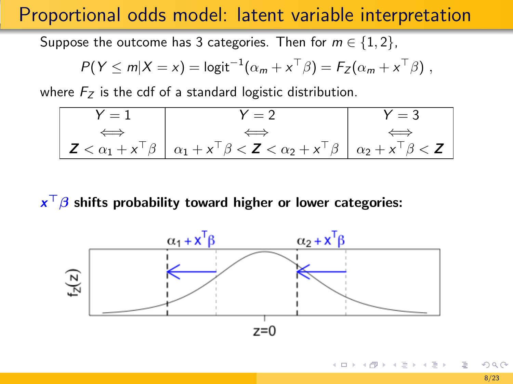Suppose the outcome has 3 categories. Then for  $m \in \{1, 2\}$ ,

$$
P(Y \le m | X = x) = \logit^{-1}(\alpha_m + x^\top \beta) = F_Z(\alpha_m + x^\top \beta) ,
$$

where  $F<sub>z</sub>$  is the cdf of a standard logistic distribution.

$$
\begin{array}{c|c|c|c}\nY = 1 & Y = 2 & Y = 3 \\
\hline\n\end{array}\n\quad\n\begin{array}{c|c|c}\n\hline\n\end{array}\n\quad\n\begin{array}{c|c}\n\hline\n\end{array}\n\quad\n\begin{array}{c|c}\n\hline\n\end{array}\n\quad\n\begin{array}{c|c}\n\hline\n\end{array}\n\quad\n\begin{array}{c|c}\n\hline\n\end{array}\n\quad\n\begin{array}{c|c}\n\hline\n\end{array}\n\quad\n\begin{array}{c|c}\n\hline\n\end{array}\n\quad\n\begin{array}{c|c}\n\hline\n\end{array}\n\quad\n\begin{array}{c|c}\n\hline\n\end{array}\n\quad\n\begin{array}{c|c}\n\hline\n\end{array}\n\quad\n\begin{array}{c|c}\n\hline\n\end{array}\n\quad\n\begin{array}{c|c}\n\hline\n\end{array}\n\quad\n\begin{array}{c|c}\n\hline\n\end{array}\n\quad\n\begin{array}{c|c}\n\hline\n\end{array}\n\quad\n\end{array}
$$

 $\mathbf{x}^\top\boldsymbol{\beta}$  shifts probability toward higher or lower categories:



イロト イ押 トイヨト イヨト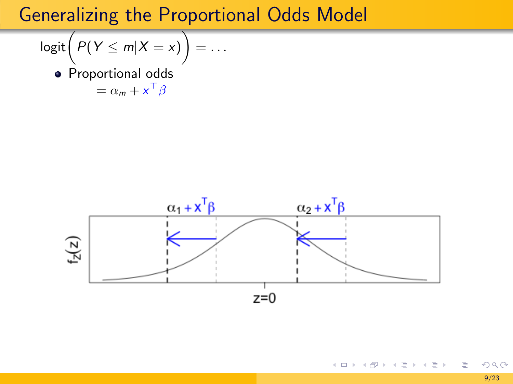$$
logit(P(Y \le m|X=x)) = \dots
$$

• Proportional odds  $= \alpha_m + x^{\top} \beta$ 

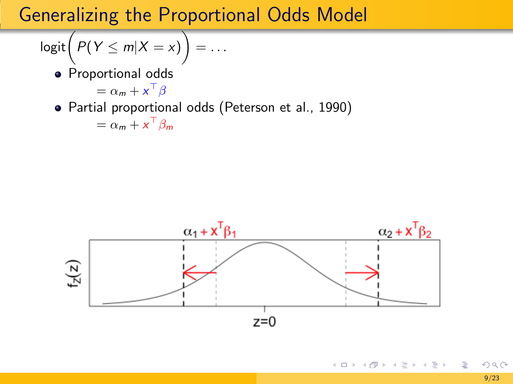$$
logit(P(Y \le m | X = x)) = \dots
$$

**·** Proportional odds

$$
= \alpha_m + x^\top \beta
$$

#### Partial proportional odds [\(Peterson et al., 1990\)](#page-36-3)

$$
= \alpha_m + x^\top \beta_m
$$



目

メロメメ 御 メメ きょく きょう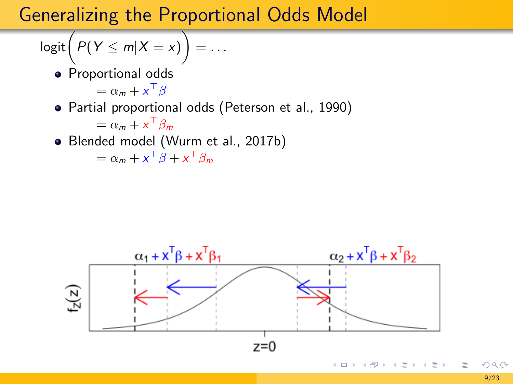$$
logit(P(Y \le m | X = x)) = \dots
$$

**·** Proportional odds

$$
= \alpha_m + x^\top \beta
$$

#### Partial proportional odds [\(Peterson et al., 1990\)](#page-36-3)

$$
= \alpha_m + x^\top \beta_m
$$

Blended model [\(Wurm et al., 2017b\)](#page-36-4)

 $=\alpha_m + x^{\top} \beta + x^{\top} \beta_m$ 

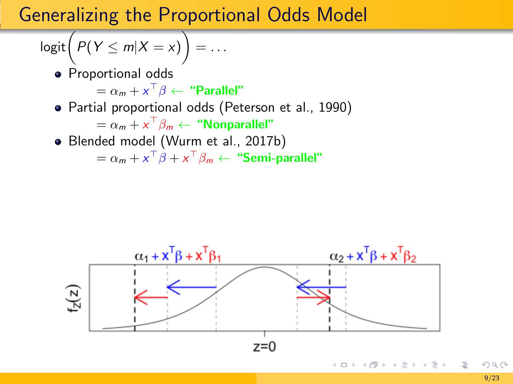$$
logit(P(Y \le m | X = x)) = \dots
$$

**•** Proportional odds

 $= \alpha_m + x^\top \beta \leftarrow$  "Parallel"

Partial proportional odds [\(Peterson et al., 1990\)](#page-36-3)

 $= \alpha_m + x^\top \beta_m \leftarrow$  "Nonparallel"

Blended model [\(Wurm et al., 2017b\)](#page-36-4)

 $=\alpha_m + x^\top \beta + x^\top \beta_m \leftarrow$  "Semi-parallel"

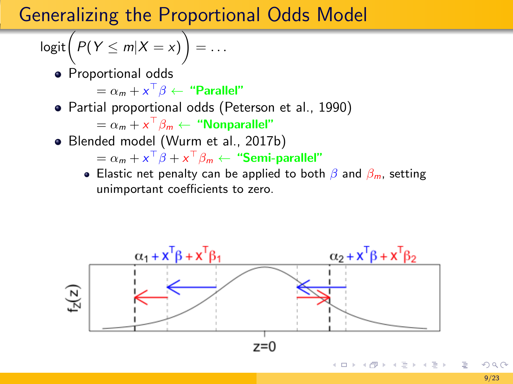$$
logit(P(Y \le m | X = x)) = \dots
$$

**•** Proportional odds

 $= \alpha_m + x^\top \beta \leftarrow$  "Parallel"

Partial proportional odds [\(Peterson et al., 1990\)](#page-36-3)

 $= \alpha_m + x^\top \beta_m \leftarrow$  "Nonparallel"

Blended model [\(Wurm et al., 2017b\)](#page-36-4)

 $=\alpha_m + x^\top \beta + x^\top \beta_m \leftarrow$  "Semi-parallel"

**Elastic net penalty can be applied to both**  $\beta$  **and**  $\beta_m$ **, setting** unimportant coefficients to zero.

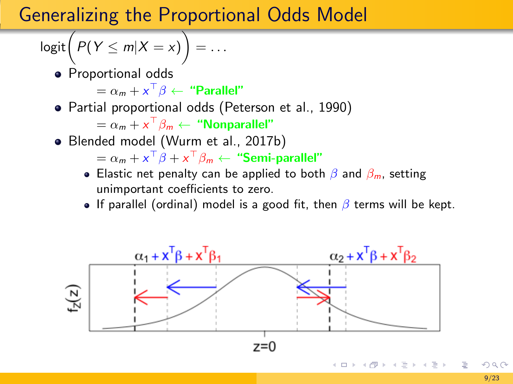$$
logit(P(Y \le m | X = x)) = \dots
$$

**•** Proportional odds

 $= \alpha_m + x^\top \beta \leftarrow$  "Parallel"

Partial proportional odds [\(Peterson et al., 1990\)](#page-36-3)

 $= \alpha_m + x^\top \beta_m \leftarrow$  "Nonparallel"

Blended model [\(Wurm et al., 2017b\)](#page-36-4)

 $=\alpha_m + x^\top \beta + x^\top \beta_m \leftarrow$  "Semi-parallel"

- **Elastic net penalty can be applied to both**  $\beta$  **and**  $\beta_m$ **, setting** unimportant coefficients to zero.
- If parallel (ordinal) model is a good fit, then  $\beta$  terms will be kept.

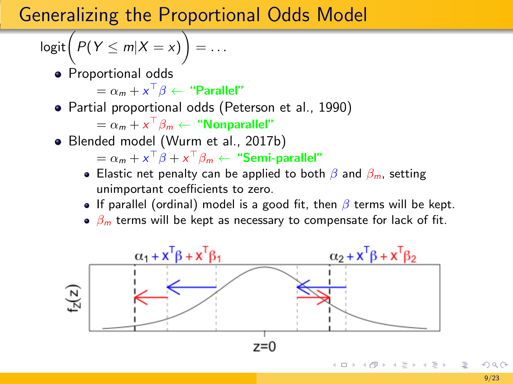$$
logit(P(Y \le m | X = x)) = \dots
$$

**•** Proportional odds

 $= \alpha_m + x^\top \beta \leftarrow$  "Parallel"

Partial proportional odds [\(Peterson et al., 1990\)](#page-36-3)

 $= \alpha_m + x^\top \beta_m \leftarrow$  "Nonparallel"

Blended model [\(Wurm et al., 2017b\)](#page-36-4)

 $=\alpha_m + x^\top \beta + x^\top \beta_m \leftarrow$  "Semi-parallel"

- **Elastic net penalty can be applied to both**  $\beta$  **and**  $\beta_m$ **, setting** unimportant coefficients to zero.
- If parallel (ordinal) model is a good fit, then  $\beta$  terms will be kept.
- $\theta_m$  terms will be kept as necessary to compensate for lack of fit.

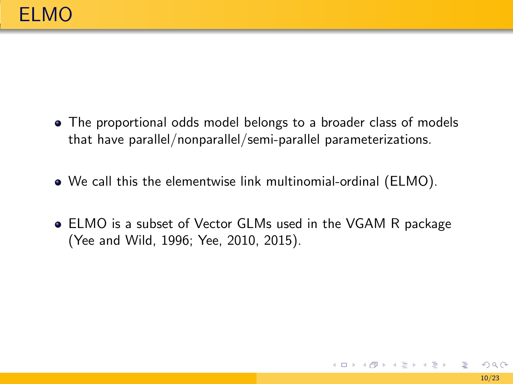- The proportional odds model belongs to a broader class of models that have parallel/nonparallel/semi-parallel parameterizations.
- We call this the elementwise link multinomial-ordinal (ELMO).
- ELMO is a subset of Vector GLMs used in the VGAM R package [\(Yee and Wild, 1996;](#page-36-5) [Yee, 2010,](#page-36-6) [2015\)](#page-36-7).

K ロ > K @ > K 경 > K 경 > 시 경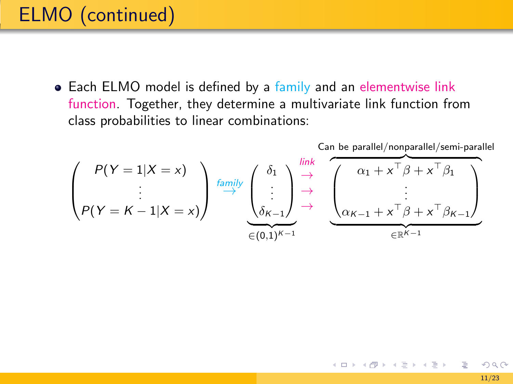# ELMO (continued)

• Each ELMO model is defined by a family and an elementwise link function. Together, they determine a multivariate link function from class probabilities to linear combinations:

$$
\begin{pmatrix}\nP(Y = 1 | X = x) \\
\vdots \\
P(Y = K - 1 | X = x)\n\end{pmatrix}\n\xrightarrow{\text{family}}\n\begin{pmatrix}\n\delta_1 \\
\vdots \\
\delta_{K-1}\n\end{pmatrix}\n\xrightarrow{\text{link}}\n\begin{pmatrix}\n\alpha_1 + x^{\top} \beta + x^{\top} \beta_1 \\
\vdots \\
\alpha_{K-1} + x^{\top} \beta + x^{\top} \beta_{K-1}\n\end{pmatrix}
$$

э

イロト イ押 トイヨト イヨト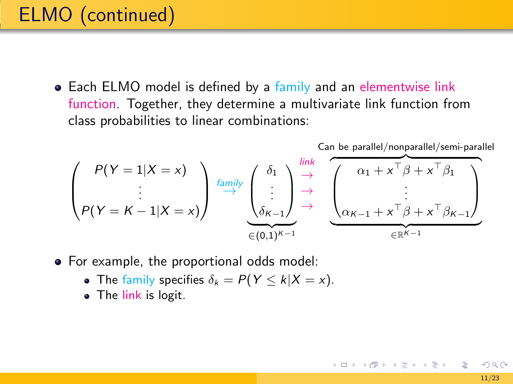# ELMO (continued)

• Each ELMO model is defined by a family and an elementwise link function. Together, they determine a multivariate link function from class probabilities to linear combinations:

$$
\begin{pmatrix}\nP(Y = 1 | X = x) \\
\vdots \\
P(Y = K - 1 | X = x)\n\end{pmatrix}\n\stackrel{\text{family}}{\rightarrow}\n\begin{pmatrix}\n\delta_1 \\
\vdots \\
\delta_{K-1}\n\end{pmatrix}\n\stackrel{\text{link}}{\rightarrow}\n\begin{pmatrix}\n\alpha_1 + x^\top \beta + x^\top \beta_1 \\
\vdots \\
\alpha_{K-1} + x^\top \beta + x^\top \beta_{K-1}\n\end{pmatrix}
$$

- For example, the proportional odds model:
	- The family specifies  $\delta_k = P(Y \le k | X = x)$ .
	- The link is logit.

K ロ > K @ > K ミ > K ミ > H ミ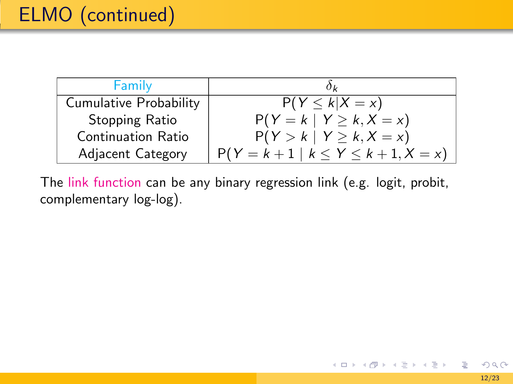| Family                    | $0\nu$                                    |
|---------------------------|-------------------------------------------|
| Cumulative Probability    | $P(Y \le k   X = x)$                      |
| Stopping Ratio            | $P(Y = k   Y \ge k, X = x)$               |
| <b>Continuation Ratio</b> | $P(Y > k   Y \ge k, X = x)$               |
| Adjacent Category         | $P(Y = k + 1   k \le Y \le k + 1, X = x)$ |

The link function can be any binary regression link (e.g. logit, probit, complementary log-log).

目

メロメメ 御 メメ きょく モドー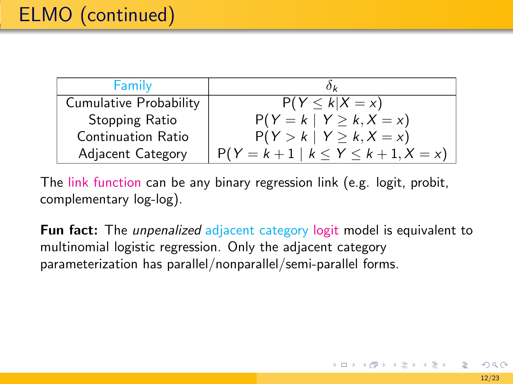| Family                    | $0\nu$                                    |
|---------------------------|-------------------------------------------|
| Cumulative Probability    | $P(Y \le k   X = x)$                      |
| Stopping Ratio            | $P(Y = k   Y \ge k, X = x)$               |
| <b>Continuation Ratio</b> | $P(Y > k   Y \ge k, X = x)$               |
| Adjacent Category         | $P(Y = k + 1   k \le Y \le k + 1, X = x)$ |

The link function can be any binary regression link (e.g. logit, probit, complementary log-log).

Fun fact: The *unpenalized* adjacent category logit model is equivalent to multinomial logistic regression. Only the adjacent category parameterization has parallel/nonparallel/semi-parallel forms.

イロト イ団ト イヨト イヨト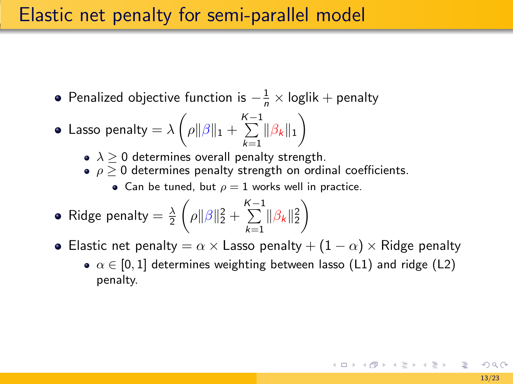#### Elastic net penalty for semi-parallel model

- Penalized objective function is  $-\frac{1}{n} \times$  loglik + penalty
- Lasso penalty  $= \lambda \left( \rho \| \beta \|_1 + \sum^{K-1} \right)$  $\sum_{k=1}^{K-1} \|\beta_k\|_1$ 
	- $\lambda > 0$  determines overall penalty strength.
	- $\rho \geq 0$  determines penalty strength on ordinal coefficients.
		- Can be tuned, but  $\rho = 1$  works well in practice.
- Ridge penalty  $=$   $\frac{\lambda}{2}$  $\left( \rho \|\beta\|_2^2 + \sum^{K-1} \right)$  $\sum_{k=1}^{n} \|\beta_k\|_2^2$  $\setminus$
- **•** Elastic net penalty =  $\alpha \times$  Lasso penalty +  $(1 \alpha) \times$  Ridge penalty
	- $\alpha \in [0,1]$  determines weighting between lasso (L1) and ridge (L2) penalty.

K ロ ▶ K 個 ▶ K 결 ▶ K 결 ▶ │ 결 │ ◆ 9 Q ⊙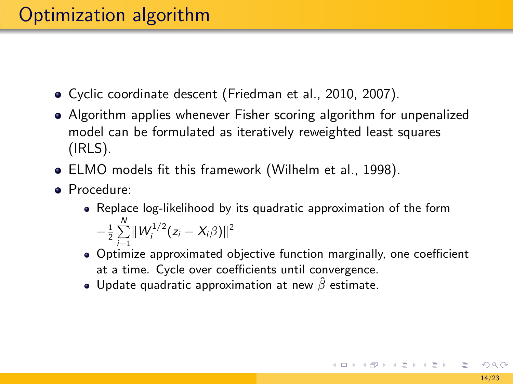- Cyclic coordinate descent [\(Friedman et al., 2010,](#page-36-8) [2007\)](#page-36-9).
- Algorithm applies whenever Fisher scoring algorithm for unpenalized model can be formulated as iteratively reweighted least squares (IRLS).
- ELMO models fit this framework [\(Wilhelm et al., 1998\)](#page-36-10).
- Procedure:
	- Replace log-likelihood by its quadratic approximation of the form  $-\frac{1}{2}\sum_{i=1}^N||W_i^{1/2}(z_i - X_i\beta)||^2$
	- Optimize approximated objective function marginally, one coefficient at a time. Cycle over coefficients until convergence.
	- Update quadratic approximation at new  $\hat{\beta}$  estimate.

イロメ イ団 メイモメ イモメー 毛り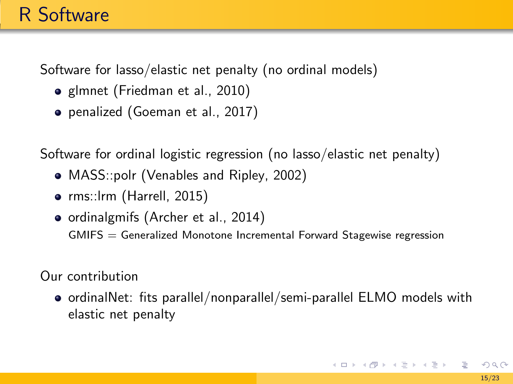# R Software

Software for lasso/elastic net penalty (no ordinal models)

- glmnet [\(Friedman et al., 2010\)](#page-36-8)
- penalized [\(Goeman et al., 2017\)](#page-36-11)

Software for ordinal logistic regression (no lasso/elastic net penalty)

- MASS::polr [\(Venables and Ripley, 2002\)](#page-36-12)
- rms::Irm [\(Harrell, 2015\)](#page-36-13)
- ordinalgmifs [\(Archer et al., 2014\)](#page-36-1) GMIFS = Generalized Monotone Incremental Forward Stagewise regression

Our contribution

o ordinalNet: fits parallel/nonparallel/semi-parallel ELMO models with elastic net penalty

K ロ ▶ K 個 ▶ K 결 ▶ K 결 ▶ │ 결 │ ◆ 9 Q ⊙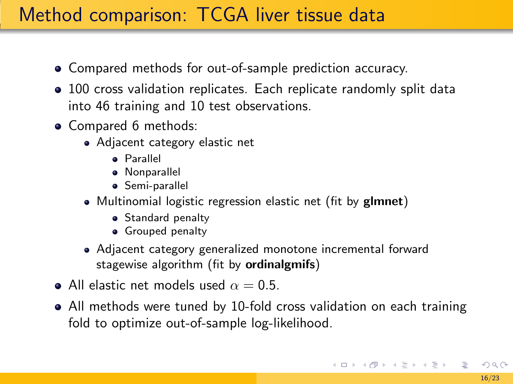# Method comparison: TCGA liver tissue data

- Compared methods for out-of-sample prediction accuracy.
- 100 cross validation replicates. Each replicate randomly split data into 46 training and 10 test observations.
- Compared 6 methods:
	- Adjacent category elastic net
		- Parallel
		- Nonparallel
		- **•** Semi-parallel
	- Multinomial logistic regression elastic net (fit by glmnet)
		- **•** Standard penalty
		- **•** Grouped penalty
	- Adjacent category generalized monotone incremental forward stagewise algorithm (fit by ordinalgmifs)
- All elastic net models used  $\alpha = 0.5$ .
- All methods were tuned by 10-fold cross validation on each training fold to optimize out-of-sample log-likelihood.

K ロ ) K ( @ ) K ( 할 ) K (할 ) ( … 할 )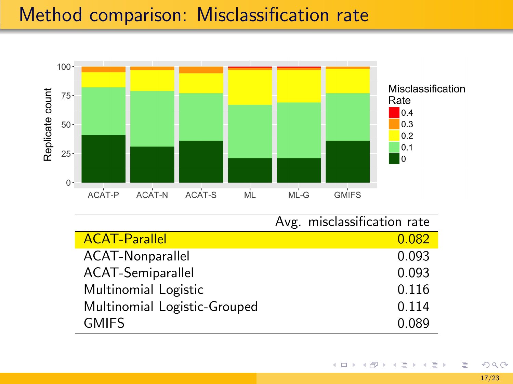# Method comparison: Misclassification rate



|                              | Avg. misclassification rate |
|------------------------------|-----------------------------|
| <b>ACAT-Parallel</b>         | 0.082                       |
| ACAT-Nonparallel             | 0.093                       |
| <b>ACAT-Semiparallel</b>     | 0.093                       |
| Multinomial Logistic         | 0.116                       |
| Multinomial Logistic-Grouped | 0.114                       |
| <b>GMIFS</b>                 | 0.089                       |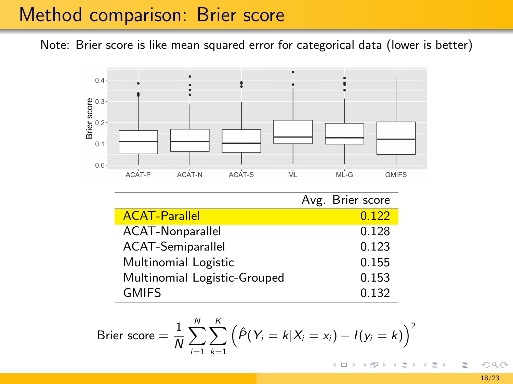### Method comparison: Brier score

Note: Brier score is like mean squared error for categorical data (lower is better)



$$
\text{Brier score} = \frac{1}{N} \sum_{i=1}^{N} \sum_{k=1}^{K} \left( \hat{P}(Y_i = k | X_i = x_i) - I(y_i = k) \right)^2
$$

 $299$ [18/23](#page-0-0)

₿

 $\mathbb{B} \rightarrow \mathbb{R} \mathbb{B} \rightarrow$ 

**€ □ >**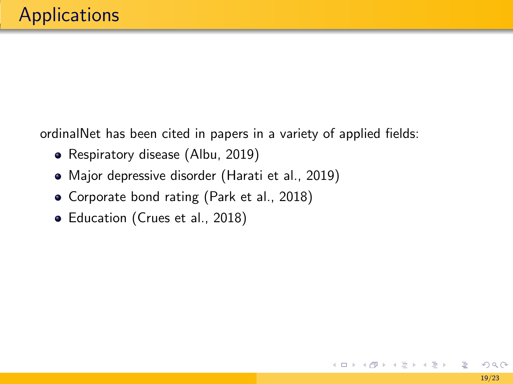ordinalNet has been cited in papers in a variety of applied fields:

- Respiratory disease [\(Albu, 2019\)](#page-36-14)
- Major depressive disorder [\(Harati et al., 2019\)](#page-36-15)
- Corporate bond rating [\(Park et al., 2018\)](#page-36-16)
- Education [\(Crues et al., 2018\)](#page-36-17)

目

メロメメ 御 メメ きょく モドー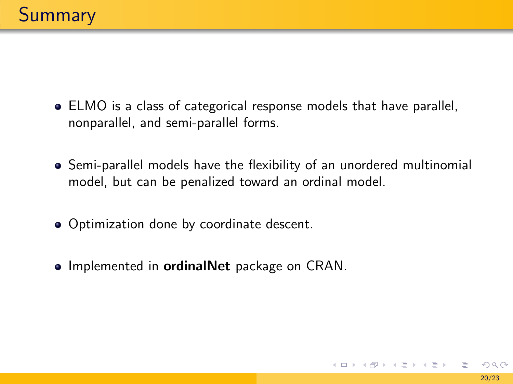- ELMO is a class of categorical response models that have parallel, nonparallel, and semi-parallel forms.
- Semi-parallel models have the flexibility of an unordered multinomial model, but can be penalized toward an ordinal model.
- Optimization done by coordinate descent.
- Implemented in **ordinalNet** package on CRAN.

イロン イタン イミン イミン 一毛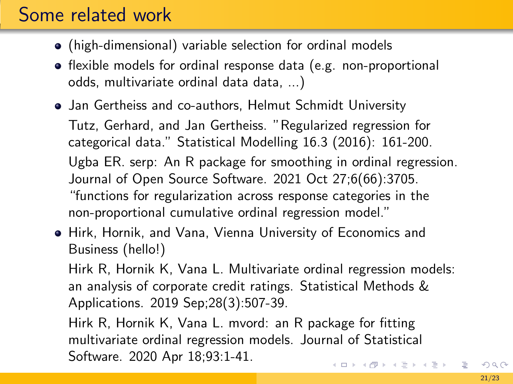# Some related work

- (high-dimensional) variable selection for ordinal models
- flexible models for ordinal response data (e.g. non-proportional odds, multivariate ordinal data data, ...)

Jan Gertheiss and co-authors, Helmut Schmidt University Tutz, Gerhard, and Jan Gertheiss. "Regularized regression for categorical data." Statistical Modelling 16.3 (2016): 161-200. Ugba ER. serp: An R package for smoothing in ordinal regression. Journal of Open Source Software. 2021 Oct 27;6(66):3705. "functions for regularization across response categories in the non-proportional cumulative ordinal regression model."

Hirk, Hornik, and Vana, Vienna University of Economics and Business (hello!)

Hirk R, Hornik K, Vana L. Multivariate ordinal regression models: an analysis of corporate credit ratings. Statistical Methods & Applications. 2019 Sep;28(3):507-39.

Hirk R, Hornik K, Vana L. mvord: an R package for fitting multivariate ordinal regression models. Journal of Statistical Software. 2020 Apr 18;93:1-41. **KORK E KERKERKERKER**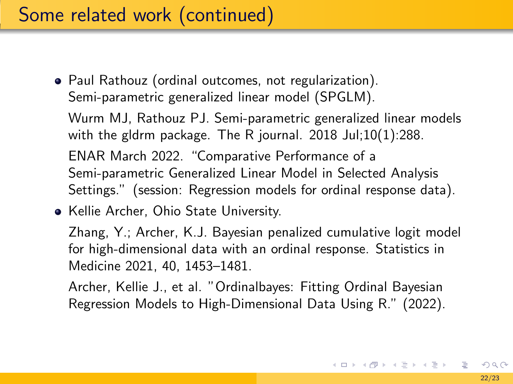# Some related work (continued)

• Paul Rathouz (ordinal outcomes, not regularization). Semi-parametric generalized linear model (SPGLM).

Wurm MJ, Rathouz PJ. Semi-parametric generalized linear models with the gldrm package. The R journal. 2018 Jul;10(1):288. ENAR March 2022. "Comparative Performance of a Semi-parametric Generalized Linear Model in Selected Analysis Settings." (session: Regression models for ordinal response data).

• Kellie Archer, Ohio State University.

Zhang, Y.; Archer, K.J. Bayesian penalized cumulative logit model for high-dimensional data with an ordinal response. Statistics in Medicine 2021, 40, 1453–1481.

Archer, Kellie J., et al. "Ordinalbayes: Fitting Ordinal Bayesian Regression Models to High-Dimensional Data Using R." (2022).

K ロ ) K ( @ ) K ( 할 ) K (할 ) ( … 할 )